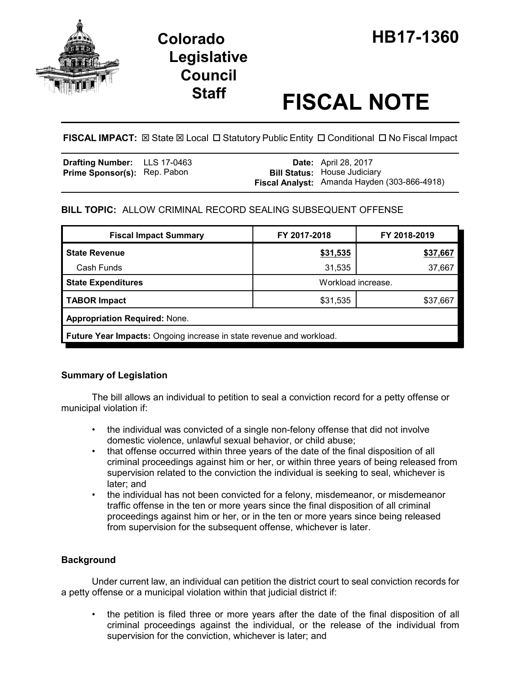

# **Legislative Council**

# **Staff FISCAL NOTE**

# **FISCAL IMPACT:**  $\boxtimes$  **State**  $\boxtimes$  **Local □ Statutory Public Entity □ Conditional □ No Fiscal Impact**

| <b>Drafting Number:</b> LLS 17-0463 |  | <b>Date:</b> April 28, 2017                                                         |
|-------------------------------------|--|-------------------------------------------------------------------------------------|
| <b>Prime Sponsor(s): Rep. Pabon</b> |  | <b>Bill Status: House Judiciary</b><br>Fiscal Analyst: Amanda Hayden (303-866-4918) |
|                                     |  |                                                                                     |

# **BILL TOPIC:** ALLOW CRIMINAL RECORD SEALING SUBSEQUENT OFFENSE

| <b>Fiscal Impact Summary</b>                                                | FY 2017-2018       | FY 2018-2019 |  |  |  |  |
|-----------------------------------------------------------------------------|--------------------|--------------|--|--|--|--|
| <b>State Revenue</b>                                                        | <u>\$31,535</u>    | \$37,667     |  |  |  |  |
| Cash Funds                                                                  | 31,535             | 37,667       |  |  |  |  |
| <b>State Expenditures</b>                                                   | Workload increase. |              |  |  |  |  |
| <b>TABOR Impact</b>                                                         | \$31,535           | \$37,667     |  |  |  |  |
| <b>Appropriation Required: None.</b>                                        |                    |              |  |  |  |  |
| <b>Future Year Impacts:</b> Ongoing increase in state revenue and workload. |                    |              |  |  |  |  |

# **Summary of Legislation**

The bill allows an individual to petition to seal a conviction record for a petty offense or municipal violation if:

- the individual was convicted of a single non-felony offense that did not involve domestic violence, unlawful sexual behavior, or child abuse;
- that offense occurred within three years of the date of the final disposition of all criminal proceedings against him or her, or within three years of being released from supervision related to the conviction the individual is seeking to seal, whichever is later; and
- the individual has not been convicted for a felony, misdemeanor, or misdemeanor traffic offense in the ten or more years since the final disposition of all criminal proceedings against him or her, or in the ten or more years since being released from supervision for the subsequent offense, whichever is later.

# **Background**

Under current law, an individual can petition the district court to seal conviction records for a petty offense or a municipal violation within that judicial district if:

• the petition is filed three or more years after the date of the final disposition of all criminal proceedings against the individual, or the release of the individual from supervision for the conviction, whichever is later; and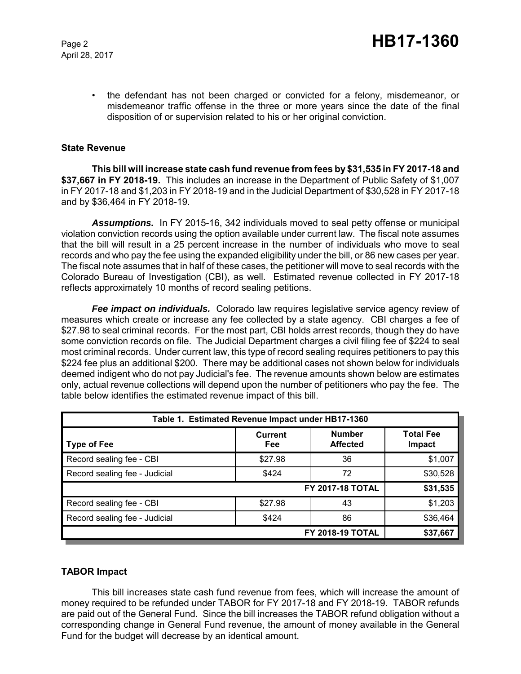April 28, 2017

• the defendant has not been charged or convicted for a felony, misdemeanor, or misdemeanor traffic offense in the three or more years since the date of the final disposition of or supervision related to his or her original conviction.

#### **State Revenue**

**This bill will increase state cash fund revenue from fees by \$31,535 in FY 2017-18 and \$37,667 in FY 2018-19.** This includes an increase in the Department of Public Safety of \$1,007 in FY 2017-18 and \$1,203 in FY 2018-19 and in the Judicial Department of \$30,528 in FY 2017-18 and by \$36,464 in FY 2018-19.

*Assumptions.* In FY 2015-16, 342 individuals moved to seal petty offense or municipal violation conviction records using the option available under current law. The fiscal note assumes that the bill will result in a 25 percent increase in the number of individuals who move to seal records and who pay the fee using the expanded eligibility under the bill, or 86 new cases per year. The fiscal note assumes that in half of these cases, the petitioner will move to seal records with the Colorado Bureau of Investigation (CBI), as well. Estimated revenue collected in FY 2017-18 reflects approximately 10 months of record sealing petitions.

*Fee impact on individuals.* Colorado law requires legislative service agency review of measures which create or increase any fee collected by a state agency. CBI charges a fee of \$27.98 to seal criminal records. For the most part, CBI holds arrest records, though they do have some conviction records on file. The Judicial Department charges a civil filing fee of \$224 to seal most criminal records. Under current law, this type of record sealing requires petitioners to pay this \$224 fee plus an additional \$200. There may be additional cases not shown below for individuals deemed indigent who do not pay Judicial's fee. The revenue amounts shown below are estimates only, actual revenue collections will depend upon the number of petitioners who pay the fee. The table below identifies the estimated revenue impact of this bill.

| Table 1. Estimated Revenue Impact under HB17-1360 |                              |                                  |                            |  |  |  |
|---------------------------------------------------|------------------------------|----------------------------------|----------------------------|--|--|--|
| <b>Type of Fee</b>                                | <b>Current</b><br><b>Fee</b> | <b>Number</b><br><b>Affected</b> | <b>Total Fee</b><br>Impact |  |  |  |
| Record sealing fee - CBI                          | \$27.98                      | 36                               | \$1,007                    |  |  |  |
| Record sealing fee - Judicial                     | \$424                        | 72                               | \$30,528                   |  |  |  |
| \$31,535<br><b>FY 2017-18 TOTAL</b>               |                              |                                  |                            |  |  |  |
| Record sealing fee - CBI                          | \$27.98                      | 43                               | \$1,203                    |  |  |  |
| Record sealing fee - Judicial                     | \$424                        | 86                               | \$36,464                   |  |  |  |
| FY 2018-19 TOTAL<br>\$37,667                      |                              |                                  |                            |  |  |  |

#### **TABOR Impact**

This bill increases state cash fund revenue from fees, which will increase the amount of money required to be refunded under TABOR for FY 2017-18 and FY 2018-19. TABOR refunds are paid out of the General Fund. Since the bill increases the TABOR refund obligation without a corresponding change in General Fund revenue, the amount of money available in the General Fund for the budget will decrease by an identical amount.